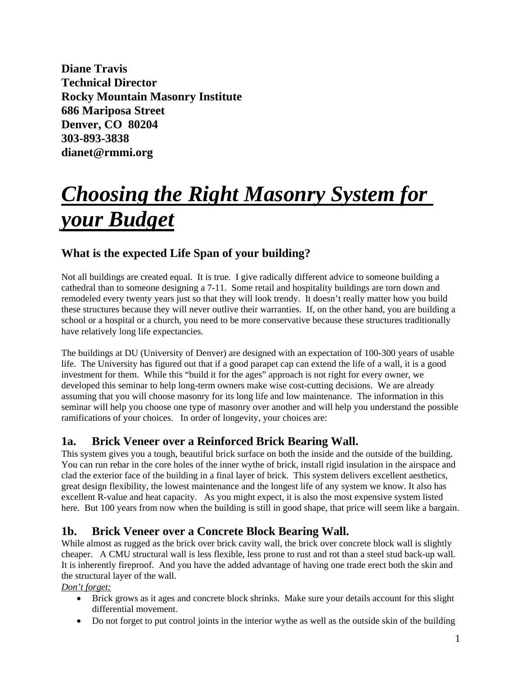**Diane Travis Technical Director Rocky Mountain Masonry Institute 686 Mariposa Street Denver, CO 80204 303-893-3838 dianet@rmmi.org**

# *Choosing the Right Masonry System for your Budget*

# **What is the expected Life Span of your building?**

Not all buildings are created equal. It is true. I give radically different advice to someone building a cathedral than to someone designing a 7-11. Some retail and hospitality buildings are torn down and remodeled every twenty years just so that they will look trendy. It doesn't really matter how you build these structures because they will never outlive their warranties. If, on the other hand, you are building a school or a hospital or a church, you need to be more conservative because these structures traditionally have relatively long life expectancies.

The buildings at DU (University of Denver) are designed with an expectation of 100-300 years of usable life. The University has figured out that if a good parapet cap can extend the life of a wall, it is a good investment for them. While this "build it for the ages" approach is not right for every owner, we developed this seminar to help long-term owners make wise cost-cutting decisions. We are already assuming that you will choose masonry for its long life and low maintenance. The information in this seminar will help you choose one type of masonry over another and will help you understand the possible ramifications of your choices. In order of longevity, your choices are:

### **1a. Brick Veneer over a Reinforced Brick Bearing Wall.**

This system gives you a tough, beautiful brick surface on both the inside and the outside of the building. You can run rebar in the core holes of the inner wythe of brick, install rigid insulation in the airspace and clad the exterior face of the building in a final layer of brick. This system delivers excellent aesthetics, great design flexibility, the lowest maintenance and the longest life of any system we know. It also has excellent R-value and heat capacity. As you might expect, it is also the most expensive system listed here. But 100 years from now when the building is still in good shape, that price will seem like a bargain.

### **1b. Brick Veneer over a Concrete Block Bearing Wall.**

While almost as rugged as the brick over brick cavity wall, the brick over concrete block wall is slightly cheaper. A CMU structural wall is less flexible, less prone to rust and rot than a steel stud back-up wall. It is inherently fireproof. And you have the added advantage of having one trade erect both the skin and the structural layer of the wall.

*Don't forget:*

- Brick grows as it ages and concrete block shrinks. Make sure your details account for this slight differential movement.
- Do not forget to put control joints in the interior wythe as well as the outside skin of the building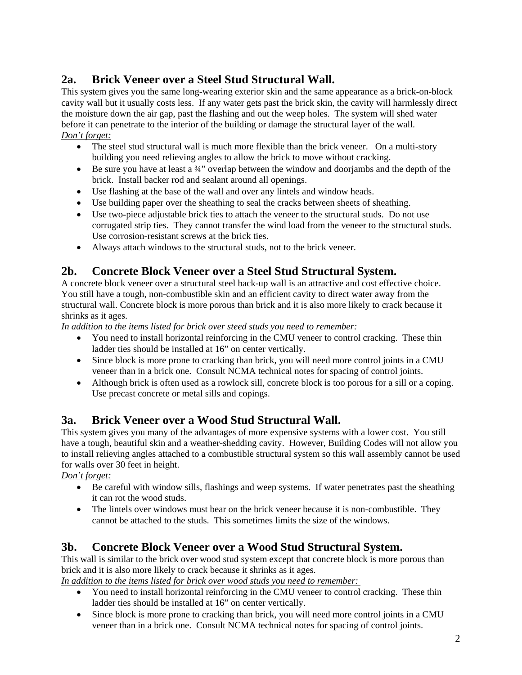# **2a. Brick Veneer over a Steel Stud Structural Wall.**

This system gives you the same long-wearing exterior skin and the same appearance as a brick-on-block cavity wall but it usually costs less. If any water gets past the brick skin, the cavity will harmlessly direct the moisture down the air gap, past the flashing and out the weep holes. The system will shed water before it can penetrate to the interior of the building or damage the structural layer of the wall. *Don't forget:*

- The steel stud structural wall is much more flexible than the brick veneer. On a multi-story building you need relieving angles to allow the brick to move without cracking.
- Be sure you have at least a <sup>3</sup>/4<sup>\*</sup> overlap between the window and doorjambs and the depth of the brick. Install backer rod and sealant around all openings.
- Use flashing at the base of the wall and over any lintels and window heads.
- Use building paper over the sheathing to seal the cracks between sheets of sheathing.
- Use two-piece adjustable brick ties to attach the veneer to the structural studs. Do not use corrugated strip ties. They cannot transfer the wind load from the veneer to the structural studs. Use corrosion-resistant screws at the brick ties.
- Always attach windows to the structural studs, not to the brick veneer.

# **2b. Concrete Block Veneer over a Steel Stud Structural System.**

A concrete block veneer over a structural steel back-up wall is an attractive and cost effective choice. You still have a tough, non-combustible skin and an efficient cavity to direct water away from the structural wall. Concrete block is more porous than brick and it is also more likely to crack because it shrinks as it ages.

*In addition to the items listed for brick over steed studs you need to remember:*

- You need to install horizontal reinforcing in the CMU veneer to control cracking. These thin ladder ties should be installed at 16" on center vertically.
- Since block is more prone to cracking than brick, you will need more control joints in a CMU veneer than in a brick one. Consult NCMA technical notes for spacing of control joints.
- Although brick is often used as a rowlock sill, concrete block is too porous for a sill or a coping. Use precast concrete or metal sills and copings.

### **3a. Brick Veneer over a Wood Stud Structural Wall.**

This system gives you many of the advantages of more expensive systems with a lower cost. You still have a tough, beautiful skin and a weather-shedding cavity. However, Building Codes will not allow you to install relieving angles attached to a combustible structural system so this wall assembly cannot be used for walls over 30 feet in height.

*Don't forget:*

- Be careful with window sills, flashings and weep systems. If water penetrates past the sheathing it can rot the wood studs.
- The lintels over windows must bear on the brick veneer because it is non-combustible. They cannot be attached to the studs. This sometimes limits the size of the windows.

### **3b. Concrete Block Veneer over a Wood Stud Structural System.**

This wall is similar to the brick over wood stud system except that concrete block is more porous than brick and it is also more likely to crack because it shrinks as it ages.

*In addition to the items listed for brick over wood studs you need to remember:* 

- You need to install horizontal reinforcing in the CMU veneer to control cracking. These thin ladder ties should be installed at 16" on center vertically.
- Since block is more prone to cracking than brick, you will need more control joints in a CMU veneer than in a brick one. Consult NCMA technical notes for spacing of control joints.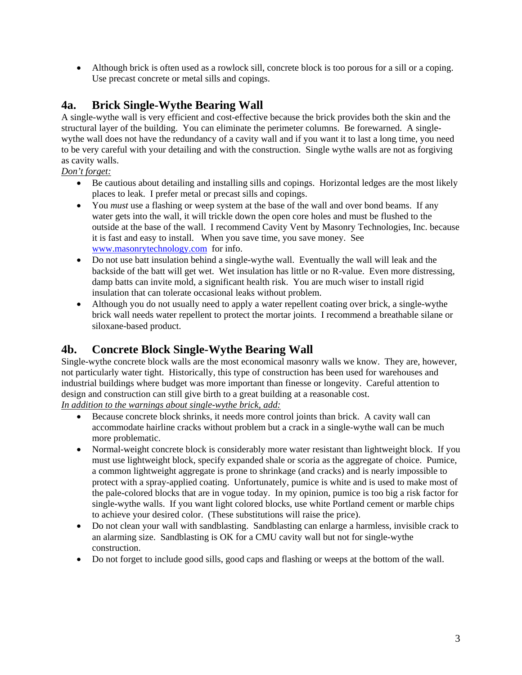• Although brick is often used as a rowlock sill, concrete block is too porous for a sill or a coping. Use precast concrete or metal sills and copings.

#### **4a. Brick Single-Wythe Bearing Wall**

A single-wythe wall is very efficient and cost-effective because the brick provides both the skin and the structural layer of the building. You can eliminate the perimeter columns. Be forewarned. A singlewythe wall does not have the redundancy of a cavity wall and if you want it to last a long time, you need to be very careful with your detailing and with the construction. Single wythe walls are not as forgiving as cavity walls.

#### *Don't forget:*

- Be cautious about detailing and installing sills and copings. Horizontal ledges are the most likely places to leak. I prefer metal or precast sills and copings.
- You *must* use a flashing or weep system at the base of the wall and over bond beams. If any water gets into the wall, it will trickle down the open core holes and must be flushed to the outside at the base of the wall. I recommend Cavity Vent by Masonry Technologies, Inc. because it is fast and easy to install. When you save time, you save money. See www.masonrytechnology.com for info.
- Do not use batt insulation behind a single-wythe wall. Eventually the wall will leak and the backside of the batt will get wet. Wet insulation has little or no R-value. Even more distressing, damp batts can invite mold, a significant health risk. You are much wiser to install rigid insulation that can tolerate occasional leaks without problem.
- Although you do not usually need to apply a water repellent coating over brick, a single-wythe brick wall needs water repellent to protect the mortar joints. I recommend a breathable silane or siloxane-based product.

### **4b. Concrete Block Single-Wythe Bearing Wall**

Single-wythe concrete block walls are the most economical masonry walls we know. They are, however, not particularly water tight. Historically, this type of construction has been used for warehouses and industrial buildings where budget was more important than finesse or longevity. Careful attention to design and construction can still give birth to a great building at a reasonable cost. *In addition to the warnings about single-wythe brick, add:*

- Because concrete block shrinks, it needs more control joints than brick. A cavity wall can accommodate hairline cracks without problem but a crack in a single-wythe wall can be much more problematic.
- Normal-weight concrete block is considerably more water resistant than lightweight block. If you must use lightweight block, specify expanded shale or scoria as the aggregate of choice. Pumice, a common lightweight aggregate is prone to shrinkage (and cracks) and is nearly impossible to protect with a spray-applied coating. Unfortunately, pumice is white and is used to make most of the pale-colored blocks that are in vogue today. In my opinion, pumice is too big a risk factor for single-wythe walls. If you want light colored blocks, use white Portland cement or marble chips to achieve your desired color. (These substitutions will raise the price).
- Do not clean your wall with sandblasting. Sandblasting can enlarge a harmless, invisible crack to an alarming size. Sandblasting is OK for a CMU cavity wall but not for single-wythe construction.
- Do not forget to include good sills, good caps and flashing or weeps at the bottom of the wall.